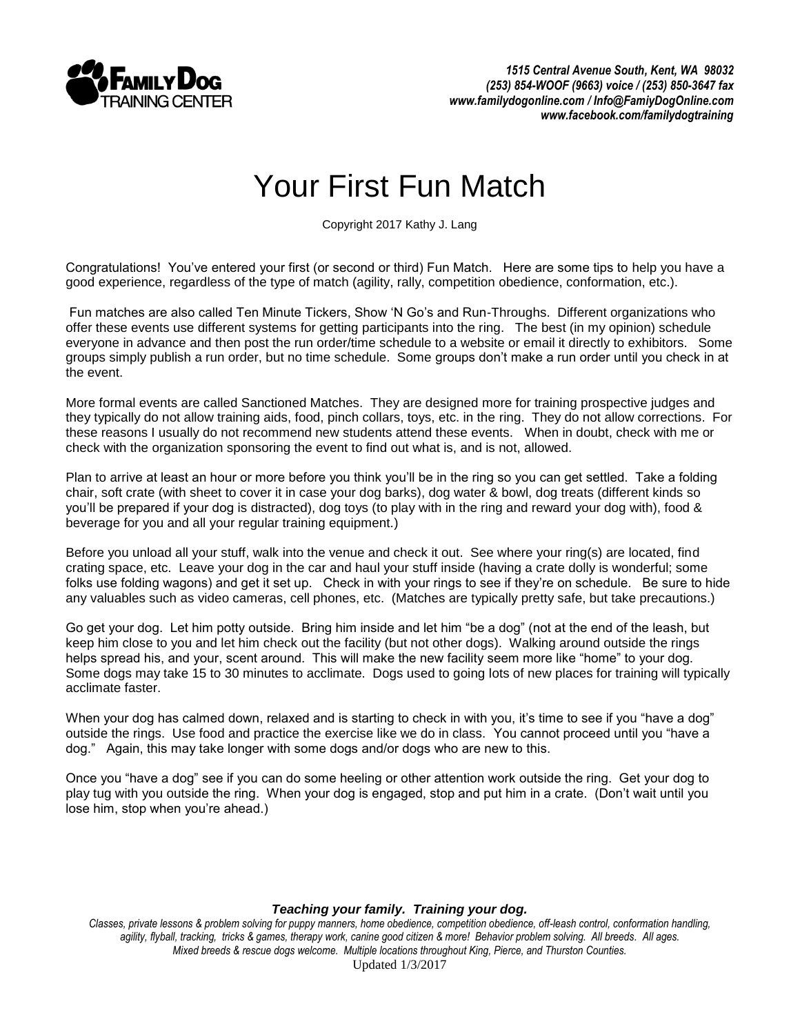

## Your First Fun Match

Copyright 2017 Kathy J. Lang

Congratulations! You've entered your first (or second or third) Fun Match. Here are some tips to help you have a good experience, regardless of the type of match (agility, rally, competition obedience, conformation, etc.).

Fun matches are also called Ten Minute Tickers, Show 'N Go's and Run-Throughs. Different organizations who offer these events use different systems for getting participants into the ring. The best (in my opinion) schedule everyone in advance and then post the run order/time schedule to a website or email it directly to exhibitors. Some groups simply publish a run order, but no time schedule. Some groups don't make a run order until you check in at the event.

More formal events are called Sanctioned Matches. They are designed more for training prospective judges and they typically do not allow training aids, food, pinch collars, toys, etc. in the ring. They do not allow corrections. For these reasons I usually do not recommend new students attend these events. When in doubt, check with me or check with the organization sponsoring the event to find out what is, and is not, allowed.

Plan to arrive at least an hour or more before you think you'll be in the ring so you can get settled. Take a folding chair, soft crate (with sheet to cover it in case your dog barks), dog water & bowl, dog treats (different kinds so you'll be prepared if your dog is distracted), dog toys (to play with in the ring and reward your dog with), food & beverage for you and all your regular training equipment.)

Before you unload all your stuff, walk into the venue and check it out. See where your ring(s) are located, find crating space, etc. Leave your dog in the car and haul your stuff inside (having a crate dolly is wonderful; some folks use folding wagons) and get it set up. Check in with your rings to see if they're on schedule. Be sure to hide any valuables such as video cameras, cell phones, etc. (Matches are typically pretty safe, but take precautions.)

Go get your dog. Let him potty outside. Bring him inside and let him "be a dog" (not at the end of the leash, but keep him close to you and let him check out the facility (but not other dogs). Walking around outside the rings helps spread his, and your, scent around. This will make the new facility seem more like "home" to your dog. Some dogs may take 15 to 30 minutes to acclimate. Dogs used to going lots of new places for training will typically acclimate faster.

When your dog has calmed down, relaxed and is starting to check in with you, it's time to see if you "have a dog" outside the rings. Use food and practice the exercise like we do in class. You cannot proceed until you "have a dog." Again, this may take longer with some dogs and/or dogs who are new to this.

Once you "have a dog" see if you can do some heeling or other attention work outside the ring. Get your dog to play tug with you outside the ring. When your dog is engaged, stop and put him in a crate. (Don't wait until you lose him, stop when you're ahead.)

## *Teaching your family. Training your dog.*

*Classes, private lessons & problem solving for puppy manners, home obedience, competition obedience, off-leash control, conformation handling,*  agility, flyball, tracking, tricks & games, therapy work, canine good citizen & more! Behavior problem solving. All breeds. All ages. *Mixed breeds & rescue dogs welcome. Multiple locations throughout King, Pierce, and Thurston Counties.* Updated 1/3/2017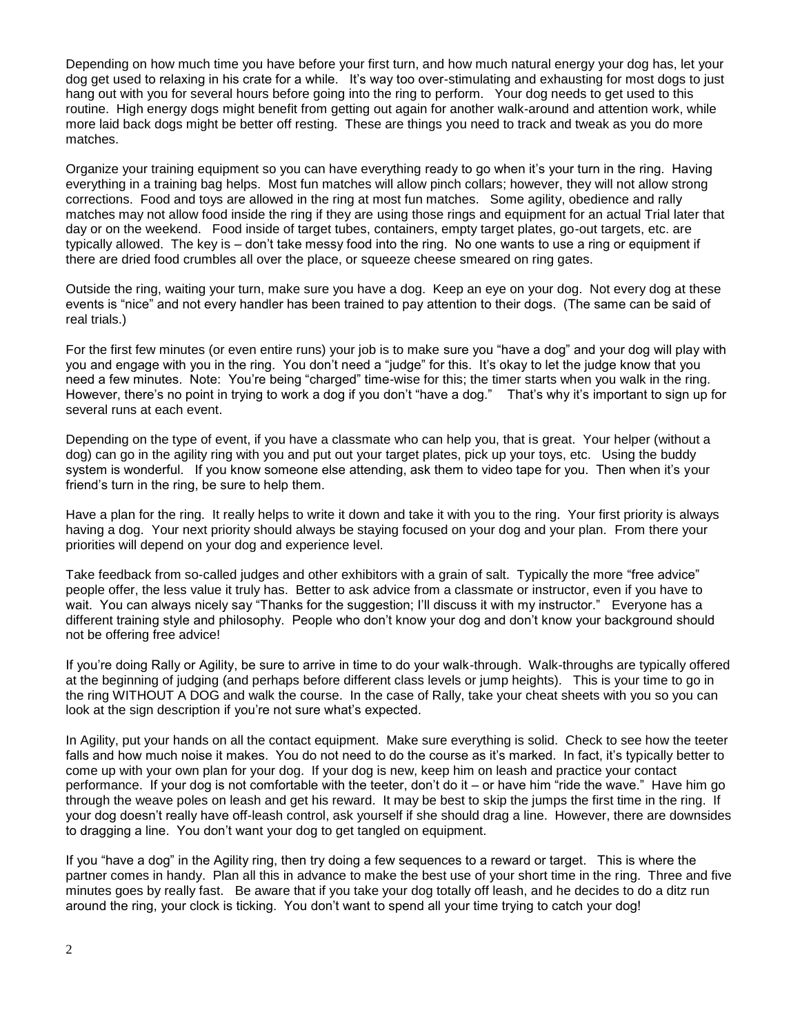Depending on how much time you have before your first turn, and how much natural energy your dog has, let your dog get used to relaxing in his crate for a while. It's way too over-stimulating and exhausting for most dogs to just hang out with you for several hours before going into the ring to perform. Your dog needs to get used to this routine. High energy dogs might benefit from getting out again for another walk-around and attention work, while more laid back dogs might be better off resting. These are things you need to track and tweak as you do more matches.

Organize your training equipment so you can have everything ready to go when it's your turn in the ring. Having everything in a training bag helps. Most fun matches will allow pinch collars; however, they will not allow strong corrections. Food and toys are allowed in the ring at most fun matches. Some agility, obedience and rally matches may not allow food inside the ring if they are using those rings and equipment for an actual Trial later that day or on the weekend. Food inside of target tubes, containers, empty target plates, go-out targets, etc. are typically allowed. The key is – don't take messy food into the ring. No one wants to use a ring or equipment if there are dried food crumbles all over the place, or squeeze cheese smeared on ring gates.

Outside the ring, waiting your turn, make sure you have a dog. Keep an eye on your dog. Not every dog at these events is "nice" and not every handler has been trained to pay attention to their dogs. (The same can be said of real trials.)

For the first few minutes (or even entire runs) your job is to make sure you "have a dog" and your dog will play with you and engage with you in the ring. You don't need a "judge" for this. It's okay to let the judge know that you need a few minutes. Note: You're being "charged" time-wise for this; the timer starts when you walk in the ring. However, there's no point in trying to work a dog if you don't "have a dog." That's why it's important to sign up for several runs at each event.

Depending on the type of event, if you have a classmate who can help you, that is great. Your helper (without a dog) can go in the agility ring with you and put out your target plates, pick up your toys, etc. Using the buddy system is wonderful. If you know someone else attending, ask them to video tape for you. Then when it's your friend's turn in the ring, be sure to help them.

Have a plan for the ring. It really helps to write it down and take it with you to the ring. Your first priority is always having a dog. Your next priority should always be staying focused on your dog and your plan. From there your priorities will depend on your dog and experience level.

Take feedback from so-called judges and other exhibitors with a grain of salt. Typically the more "free advice" people offer, the less value it truly has. Better to ask advice from a classmate or instructor, even if you have to wait. You can always nicely say "Thanks for the suggestion; I'll discuss it with my instructor." Everyone has a different training style and philosophy. People who don't know your dog and don't know your background should not be offering free advice!

If you're doing Rally or Agility, be sure to arrive in time to do your walk-through. Walk-throughs are typically offered at the beginning of judging (and perhaps before different class levels or jump heights). This is your time to go in the ring WITHOUT A DOG and walk the course. In the case of Rally, take your cheat sheets with you so you can look at the sign description if you're not sure what's expected.

In Agility, put your hands on all the contact equipment. Make sure everything is solid. Check to see how the teeter falls and how much noise it makes. You do not need to do the course as it's marked. In fact, it's typically better to come up with your own plan for your dog. If your dog is new, keep him on leash and practice your contact performance. If your dog is not comfortable with the teeter, don't do it – or have him "ride the wave." Have him go through the weave poles on leash and get his reward. It may be best to skip the jumps the first time in the ring. If your dog doesn't really have off-leash control, ask yourself if she should drag a line. However, there are downsides to dragging a line. You don't want your dog to get tangled on equipment.

If you "have a dog" in the Agility ring, then try doing a few sequences to a reward or target. This is where the partner comes in handy. Plan all this in advance to make the best use of your short time in the ring. Three and five minutes goes by really fast. Be aware that if you take your dog totally off leash, and he decides to do a ditz run around the ring, your clock is ticking. You don't want to spend all your time trying to catch your dog!